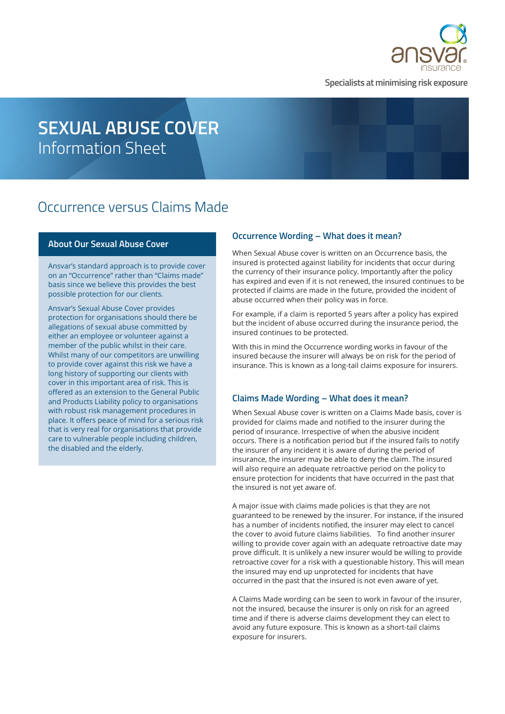

**Specialists at minimising risk exposure**

# **SEXUAL ABUSE COVER** Information Sheet

## Occurrence versus Claims Made

#### **About Our Sexual Abuse Cover**

Ansvar's standard approach is to provide cover on an "Occurrence" rather than "Claims made" basis since we believe this provides the best possible protection for our clients.

Ansvar's Sexual Abuse Cover provides protection for organisations should there be allegations of sexual abuse committed by either an employee or volunteer against a member of the public whilst in their care. Whilst many of our competitors are unwilling to provide cover against this risk we have a long history of supporting our clients with cover in this important area of risk. This is offered as an extension to the General Public and Products Liability policy to organisations with robust risk management procedures in place. It offers peace of mind for a serious risk that is very real for organisations that provide care to vulnerable people including children, the disabled and the elderly.

#### **Occurrence Wording – What does it mean?**

When Sexual Abuse cover is written on an Occurrence basis, the insured is protected against liability for incidents that occur during the currency of their insurance policy. Importantly after the policy has expired and even if it is not renewed, the insured continues to be protected if claims are made in the future, provided the incident of abuse occurred when their policy was in force.

For example, if a claim is reported 5 years after a policy has expired but the incident of abuse occurred during the insurance period, the insured continues to be protected.

With this in mind the Occurrence wording works in favour of the insured because the insurer will always be on risk for the period of insurance. This is known as a long-tail claims exposure for insurers.

#### **Claims Made Wording – What does it mean?**

When Sexual Abuse cover is written on a Claims Made basis, cover is provided for claims made and notified to the insurer during the period of insurance. Irrespective of when the abusive incident occurs. There is a notification period but if the insured fails to notify the insurer of any incident it is aware of during the period of insurance, the insurer may be able to deny the claim. The insured will also require an adequate retroactive period on the policy to ensure protection for incidents that have occurred in the past that the insured is not yet aware of.

A major issue with claims made policies is that they are not guaranteed to be renewed by the insurer. For instance, if the insured has a number of incidents notified, the insurer may elect to cancel the cover to avoid future claims liabilities. To find another insurer willing to provide cover again with an adequate retroactive date may prove difficult. It is unlikely a new insurer would be willing to provide retroactive cover for a risk with a questionable history. This will mean the insured may end up unprotected for incidents that have occurred in the past that the insured is not even aware of yet.

A Claims Made wording can be seen to work in favour of the insurer, not the insured, because the insurer is only on risk for an agreed time and if there is adverse claims development they can elect to avoid any future exposure. This is known as a short-tail claims exposure for insurers.